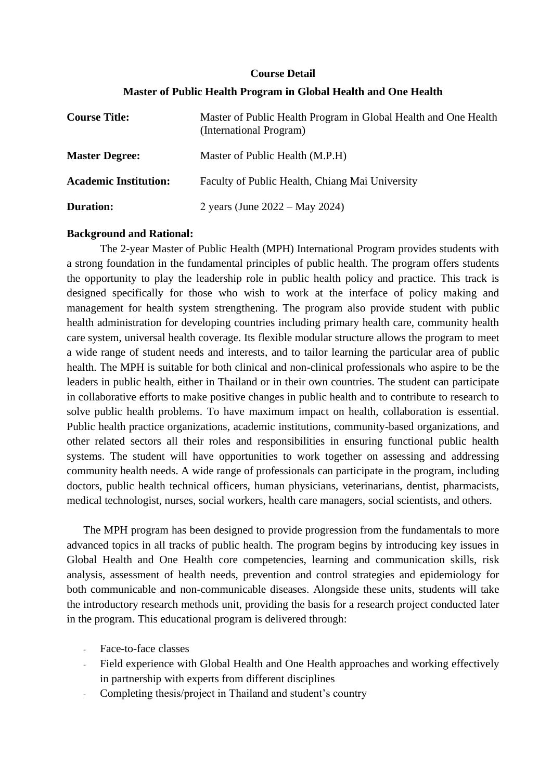#### **Course Detail**

### **Master of Public Health Program in Global Health and One Health**

| <b>Course Title:</b>         | Master of Public Health Program in Global Health and One Health<br>(International Program) |
|------------------------------|--------------------------------------------------------------------------------------------|
| <b>Master Degree:</b>        | Master of Public Health (M.P.H)                                                            |
| <b>Academic Institution:</b> | Faculty of Public Health, Chiang Mai University                                            |
| <b>Duration:</b>             | 2 years (June $2022 - May 2024$ )                                                          |

### **Background and Rational:**

The 2-year Master of Public Health (MPH) International Program provides students with a strong foundation in the fundamental principles of public health. The program offers students the opportunity to play the leadership role in public health policy and practice. This track is designed specifically for those who wish to work at the interface of policy making and management for health system strengthening. The program also provide student with public health administration for developing countries including primary health care, community health care system, universal health coverage. Its flexible modular structure allows the program to meet a wide range of student needs and interests, and to tailor learning the particular area of public health. The MPH is suitable for both clinical and non-clinical professionals who aspire to be the leaders in public health, either in Thailand or in their own countries. The student can participate in collaborative efforts to make positive changes in public health and to contribute to research to solve public health problems. To have maximum impact on health, collaboration is essential. Public health practice organizations, academic institutions, community-based organizations, and other related sectors all their roles and responsibilities in ensuring functional public health systems. The student will have opportunities to work together on assessing and addressing community health needs. A wide range of professionals can participate in the program, including doctors, public health technical officers, human physicians, veterinarians, dentist, pharmacists, medical technologist, nurses, social workers, health care managers, social scientists, and others.

The MPH program has been designed to provide progression from the fundamentals to more advanced topics in all tracks of public health. The program begins by introducing key issues in Global Health and One Health core competencies, learning and communication skills, risk analysis, assessment of health needs, prevention and control strategies and epidemiology for both communicable and non-communicable diseases. Alongside these units, students will take the introductory research methods unit, providing the basis for a research project conducted later in the program. This educational program is delivered through:

- Face-to-face classes
- Field experience with Global Health and One Health approaches and working effectively in partnership with experts from different disciplines
- Completing thesis/project in Thailand and student's country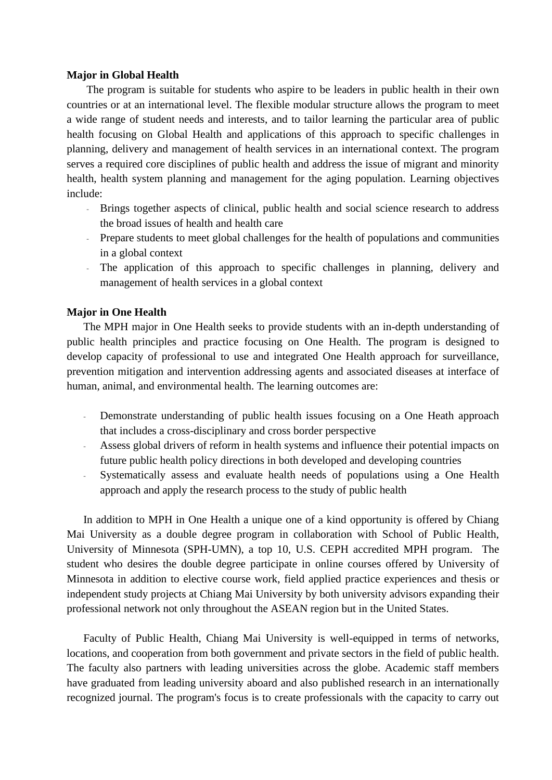#### **Major in Global Health**

The program is suitable for students who aspire to be leaders in public health in their own countries or at an international level. The flexible modular structure allows the program to meet a wide range of student needs and interests, and to tailor learning the particular area of public health focusing on Global Health and applications of this approach to specific challenges in planning, delivery and management of health services in an international context. The program serves a required core disciplines of public health and address the issue of migrant and minority health, health system planning and management for the aging population. Learning objectives include:

- Brings together aspects of clinical, public health and social science research to address the broad issues of health and health care
- Prepare students to meet global challenges for the health of populations and communities in a global context
- The application of this approach to specific challenges in planning, delivery and management of health services in a global context

#### **Major in One Health**

The MPH major in One Health seeks to provide students with an in-depth understanding of public health principles and practice focusing on One Health. The program is designed to develop capacity of professional to use and integrated One Health approach for surveillance, prevention mitigation and intervention addressing agents and associated diseases at interface of human, animal, and environmental health. The learning outcomes are:

- Demonstrate understanding of public health issues focusing on a One Heath approach that includes a cross-disciplinary and cross border perspective
- Assess global drivers of reform in health systems and influence their potential impacts on future public health policy directions in both developed and developing countries
- Systematically assess and evaluate health needs of populations using a One Health approach and apply the research process to the study of public health

In addition to MPH in One Health a unique one of a kind opportunity is offered by Chiang Mai University as a double degree program in collaboration with School of Public Health, University of Minnesota (SPH-UMN), a top 10, U.S. CEPH accredited MPH program. The student who desires the double degree participate in online courses offered by University of Minnesota in addition to elective course work, field applied practice experiences and thesis or independent study projects at Chiang Mai University by both university advisors expanding their professional network not only throughout the ASEAN region but in the United States.

Faculty of Public Health, Chiang Mai University is well-equipped in terms of networks, locations, and cooperation from both government and private sectors in the field of public health. The faculty also partners with leading universities across the globe. Academic staff members have graduated from leading university aboard and also published research in an internationally recognized journal. The program's focus is to create professionals with the capacity to carry out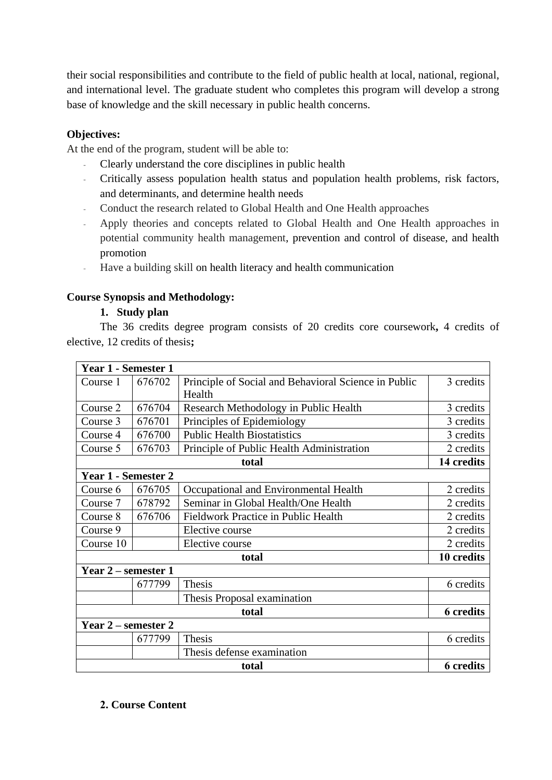their social responsibilities and contribute to the field of public health at local, national, regional, and international level. The graduate student who completes this program will develop a strong base of knowledge and the skill necessary in public health concerns.

# **Objectives:**

At the end of the program, student will be able to:

- Clearly understand the core disciplines in public health
- Critically assess population health status and population health problems, risk factors, and determinants, and determine health needs
- Conduct the research related to Global Health and One Health approaches
- Apply theories and concepts related to Global Health and One Health approaches in potential community health management, prevention and control of disease, and health promotion
- Have a building skill on health literacy and health communication

# **Course Synopsis and Methodology:**

# **1. Study plan**

The 36 credits degree program consists of 20 credits core coursework**,** 4 credits of elective, 12 credits of thesis**;**

| Year 1 - Semester 1 |        |                                                      |                  |
|---------------------|--------|------------------------------------------------------|------------------|
| Course 1            | 676702 | Principle of Social and Behavioral Science in Public | 3 credits        |
|                     |        | Health                                               |                  |
| Course 2            | 676704 | Research Methodology in Public Health                | 3 credits        |
| Course 3            | 676701 | Principles of Epidemiology                           | 3 credits        |
| Course 4            | 676700 | <b>Public Health Biostatistics</b>                   | 3 credits        |
| Course 5            | 676703 | Principle of Public Health Administration            | 2 credits        |
| total               |        |                                                      | 14 credits       |
| Year 1 - Semester 2 |        |                                                      |                  |
| Course 6            | 676705 | Occupational and Environmental Health                | 2 credits        |
| Course 7            | 678792 | Seminar in Global Health/One Health                  | 2 credits        |
| Course 8            | 676706 | <b>Fieldwork Practice in Public Health</b>           | 2 credits        |
| Course 9            |        | Elective course                                      | 2 credits        |
| Course 10           |        | Elective course                                      | 2 credits        |
| total               |        | 10 credits                                           |                  |
| Year 2 – semester 1 |        |                                                      |                  |
|                     | 677799 | Thesis                                               | 6 credits        |
|                     |        | Thesis Proposal examination                          |                  |
| total               |        | <b>6</b> credits                                     |                  |
| Year 2 – semester 2 |        |                                                      |                  |
|                     | 677799 | Thesis                                               | 6 credits        |
|                     |        | Thesis defense examination                           |                  |
| total               |        |                                                      | <b>6</b> credits |

### **2. Course Content**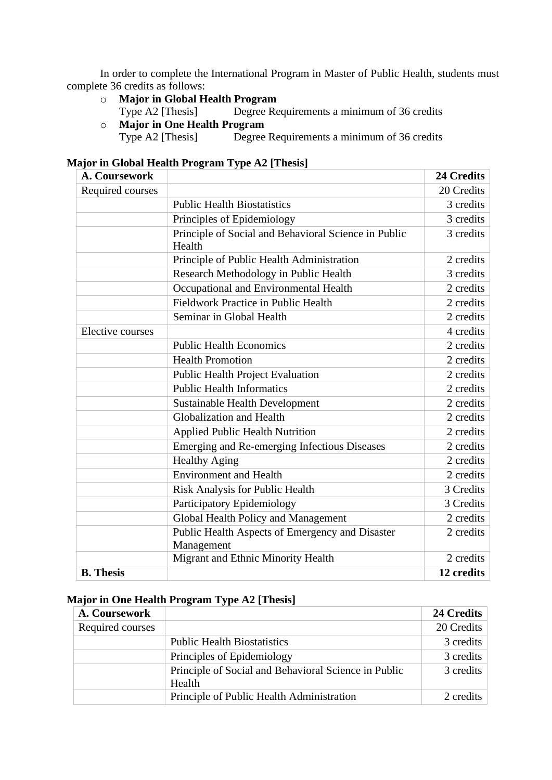In order to complete the International Program in Master of Public Health, students must complete 36 credits as follows:

- o **Major in Global Health Program** 
	- Degree Requirements a minimum of 36 credits
- o **Major in One Health Program**

Degree Requirements a minimum of 36 credits

| <b>Major in Global Health Program Type A2 [Thesis]</b> |
|--------------------------------------------------------|
|--------------------------------------------------------|

| A. Coursework    |                                                                | <b>24 Credits</b> |
|------------------|----------------------------------------------------------------|-------------------|
| Required courses |                                                                | 20 Credits        |
|                  | <b>Public Health Biostatistics</b>                             | 3 credits         |
|                  | Principles of Epidemiology                                     | 3 credits         |
|                  | Principle of Social and Behavioral Science in Public<br>Health | 3 credits         |
|                  | Principle of Public Health Administration                      | 2 credits         |
|                  | Research Methodology in Public Health                          | 3 credits         |
|                  | Occupational and Environmental Health                          | 2 credits         |
|                  | Fieldwork Practice in Public Health                            | 2 credits         |
|                  | Seminar in Global Health                                       | 2 credits         |
| Elective courses |                                                                | 4 credits         |
|                  | <b>Public Health Economics</b>                                 | 2 credits         |
|                  | <b>Health Promotion</b>                                        | 2 credits         |
|                  | <b>Public Health Project Evaluation</b>                        | 2 credits         |
|                  | <b>Public Health Informatics</b>                               | 2 credits         |
|                  | <b>Sustainable Health Development</b>                          | 2 credits         |
|                  | Globalization and Health                                       | 2 credits         |
|                  | <b>Applied Public Health Nutrition</b>                         | 2 credits         |
|                  | Emerging and Re-emerging Infectious Diseases                   | 2 credits         |
|                  | <b>Healthy Aging</b>                                           | 2 credits         |
|                  | <b>Environment and Health</b>                                  | 2 credits         |
|                  | Risk Analysis for Public Health                                | 3 Credits         |
|                  | Participatory Epidemiology                                     | 3 Credits         |
|                  | Global Health Policy and Management                            | 2 credits         |
|                  | Public Health Aspects of Emergency and Disaster<br>Management  | 2 credits         |
|                  | Migrant and Ethnic Minority Health                             | 2 credits         |
| <b>B.</b> Thesis |                                                                | 12 credits        |

# **Major in One Health Program Type A2 [Thesis]**

| A. Coursework    |                                                                | 24 Credits |
|------------------|----------------------------------------------------------------|------------|
| Required courses |                                                                | 20 Credits |
|                  | <b>Public Health Biostatistics</b>                             | 3 credits  |
|                  | Principles of Epidemiology                                     | 3 credits  |
|                  | Principle of Social and Behavioral Science in Public<br>Health | 3 credits  |
|                  | Principle of Public Health Administration                      | 2 credits  |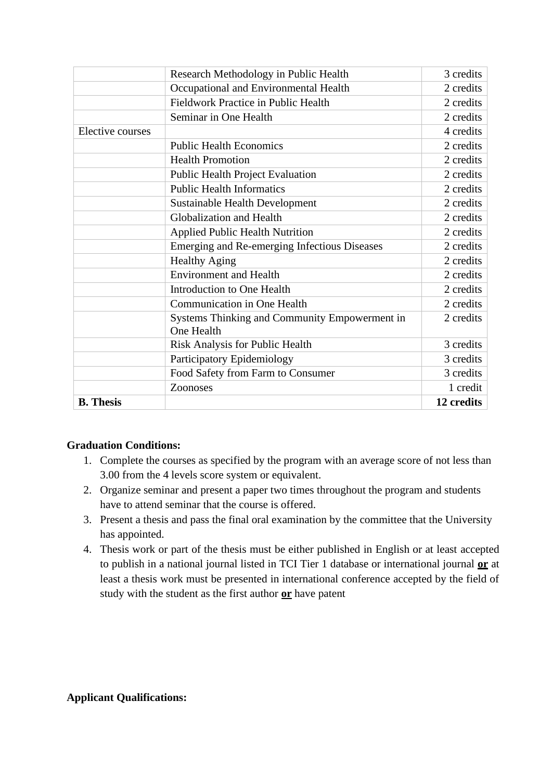|                  | Research Methodology in Public Health                       | 3 credits  |
|------------------|-------------------------------------------------------------|------------|
|                  | Occupational and Environmental Health                       | 2 credits  |
|                  | Fieldwork Practice in Public Health                         | 2 credits  |
|                  | Seminar in One Health                                       | 2 credits  |
| Elective courses |                                                             | 4 credits  |
|                  | <b>Public Health Economics</b>                              | 2 credits  |
|                  | <b>Health Promotion</b>                                     | 2 credits  |
|                  | <b>Public Health Project Evaluation</b>                     | 2 credits  |
|                  | <b>Public Health Informatics</b>                            | 2 credits  |
|                  | <b>Sustainable Health Development</b>                       | 2 credits  |
|                  | Globalization and Health                                    | 2 credits  |
|                  | <b>Applied Public Health Nutrition</b>                      | 2 credits  |
|                  | Emerging and Re-emerging Infectious Diseases                | 2 credits  |
|                  | <b>Healthy Aging</b>                                        | 2 credits  |
|                  | <b>Environment and Health</b>                               | 2 credits  |
|                  | Introduction to One Health                                  | 2 credits  |
|                  | Communication in One Health                                 | 2 credits  |
|                  | Systems Thinking and Community Empowerment in<br>One Health | 2 credits  |
|                  | <b>Risk Analysis for Public Health</b>                      | 3 credits  |
|                  | Participatory Epidemiology                                  | 3 credits  |
|                  | Food Safety from Farm to Consumer                           | 3 credits  |
|                  | Zoonoses                                                    | 1 credit   |
| <b>B.</b> Thesis |                                                             | 12 credits |

### **Graduation Conditions:**

- 1. Complete the courses as specified by the program with an average score of not less than 3.00 from the 4 levels score system or equivalent.
- 2. Organize seminar and present a paper two times throughout the program and students have to attend seminar that the course is offered.
- 3. Present a thesis and pass the final oral examination by the committee that the University has appointed.
- 4. Thesis work or part of the thesis must be either published in English or at least accepted to publish in a national journal listed in TCI Tier 1 database or international journal **or** at least a thesis work must be presented in international conference accepted by the field of study with the student as the first author **or** have patent

### **Applicant Qualifications:**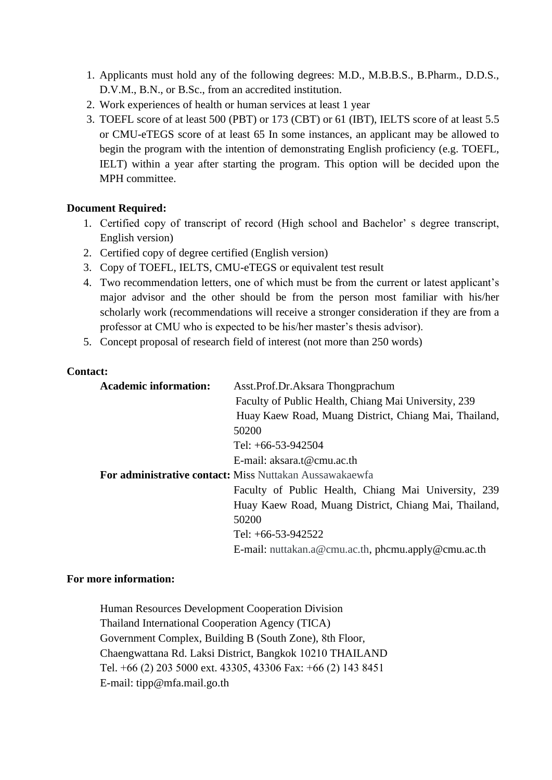- 1. Applicants must hold any of the following degrees: M.D., M.B.B.S., B.Pharm., D.D.S., D.V.M., B.N., or B.Sc., from an accredited institution.
- 2. Work experiences of health or human services at least 1 year
- 3. TOEFL score of at least 500 (PBT) or 173 (CBT) or 61 (IBT), IELTS score of at least 5.5 or CMU-eTEGS score of at least 65 In some instances, an applicant may be allowed to begin the program with the intention of demonstrating English proficiency (e.g. TOEFL, IELT) within a year after starting the program. This option will be decided upon the MPH committee.

# **Document Required:**

- 1. Certified copy of transcript of record (High school and Bachelor' s degree transcript, English version)
- 2. Certified copy of degree certified (English version)
- 3. Copy of TOEFL, IELTS, CMU-eTEGS or equivalent test result
- 4. Two recommendation letters, one of which must be from the current or latest applicant's major advisor and the other should be from the person most familiar with his/her scholarly work (recommendations will receive a stronger consideration if they are from a professor at CMU who is expected to be his/her master's thesis advisor).
- 5. Concept proposal of research field of interest (not more than 250 words)

### **Contact:**

| <b>Academic information:</b> | Asst.Prof.Dr.Aksara Thongprachum                               |
|------------------------------|----------------------------------------------------------------|
|                              | Faculty of Public Health, Chiang Mai University, 239           |
|                              | Huay Kaew Road, Muang District, Chiang Mai, Thailand,          |
|                              | 50200                                                          |
|                              | Tel: $+66-53-942504$                                           |
|                              | E-mail: aksara.t@cmu.ac.th                                     |
|                              | <b>For administrative contact: Miss Nuttakan Aussawakaewfa</b> |
|                              | Faculty of Public Health, Chiang Mai University, 239           |
|                              | Huay Kaew Road, Muang District, Chiang Mai, Thailand,          |
|                              | 50200                                                          |
|                              | Tel: $+66-53-942522$                                           |
|                              | E-mail: nuttakan.a@cmu.ac.th, phcmu.apply@cmu.ac.th            |

### **For more information:**

Human Resources Development Cooperation Division Thailand International Cooperation Agency (TICA) Government Complex, Building B (South Zone), 8th Floor, Chaengwattana Rd. Laksi District, Bangkok 10210 THAILAND Tel. +66 (2) 203 5000 ext. 43305, 43306 Fax: +66 (2) 143 8451 E-mail: tipp@mfa.mail.go.th